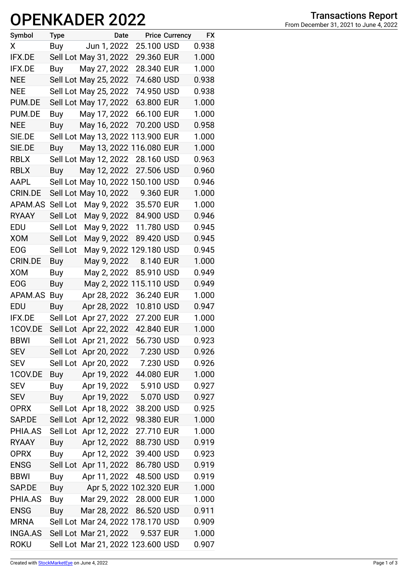## **OPENKADER 2022**

| Symbol         | <b>Type</b> |                                   | Date |                         | <b>Price Currency</b> | <b>FX</b> |
|----------------|-------------|-----------------------------------|------|-------------------------|-----------------------|-----------|
| X              | Buy         | Jun 1, 2022                       |      | 25.100 USD              |                       | 0.938     |
| <b>IFX.DE</b>  |             | Sell Lot May 31, 2022             |      | 29.360 EUR              |                       | 1.000     |
| <b>IFX.DE</b>  | Buy         | May 27, 2022                      |      | 28.340 EUR              |                       | 1.000     |
| <b>NEE</b>     |             | Sell Lot May 25, 2022             |      | 74.680 USD              |                       | 0.938     |
| <b>NEE</b>     |             | Sell Lot May 25, 2022             |      | 74.950 USD              |                       | 0.938     |
| PUM.DE         |             | Sell Lot May 17, 2022             |      | 63.800 EUR              |                       | 1.000     |
| PUM.DE         | Buy         | May 17, 2022                      |      | 66.100 EUR              |                       | 1.000     |
| <b>NEE</b>     | <b>Buy</b>  | May 16, 2022                      |      | 70.200 USD              |                       | 0.958     |
| SIE.DE         |             | Sell Lot May 13, 2022 113.900 EUR |      |                         |                       | 1.000     |
| SIE.DE         | Buy         | May 13, 2022 116.080 EUR          |      |                         |                       | 1.000     |
| <b>RBLX</b>    |             | Sell Lot May 12, 2022             |      | 28.160 USD              |                       | 0.963     |
| <b>RBLX</b>    | Buy         | May 12, 2022                      |      | 27.506 USD              |                       | 0.960     |
| AAPL           |             | Sell Lot May 10, 2022 150.100 USD |      |                         |                       | 0.946     |
| <b>CRIN.DE</b> |             | Sell Lot May 10, 2022             |      | 9.360 EUR               |                       | 1.000     |
| APAM.AS        | Sell Lot    | May 9, 2022                       |      | 35.570 EUR              |                       | 1.000     |
| <b>RYAAY</b>   | Sell Lot    | May 9, 2022                       |      | 84.900 USD              |                       | 0.946     |
| EDU            | Sell Lot    | May 9, 2022                       |      | 11.780 USD              |                       | 0.945     |
| <b>XOM</b>     | Sell Lot    | May 9, 2022                       |      | 89.420 USD              |                       | 0.945     |
| <b>EOG</b>     | Sell Lot    |                                   |      | May 9, 2022 129.180 USD |                       | 0.945     |
| <b>CRIN.DE</b> | <b>Buy</b>  | May 9, 2022                       |      | 8.140 EUR               |                       | 1.000     |
| <b>XOM</b>     | Buy         | May 2, 2022                       |      | 85.910 USD              |                       | 0.949     |
| <b>EOG</b>     | Buy         |                                   |      | May 2, 2022 115.110 USD |                       | 0.949     |
| APAM.AS        | Buy         | Apr 28, 2022                      |      | 36.240 EUR              |                       | 1.000     |
| EDU            | <b>Buy</b>  | Apr 28, 2022                      |      | 10.810 USD              |                       | 0.947     |
| IFX.DE         | Sell Lot    | Apr 27, 2022                      |      | 27.200 EUR              |                       | 1.000     |
| 1COV.DE        | Sell Lot    | Apr 22, 2022                      |      | 42.840 EUR              |                       | 1.000     |
| <b>BBWI</b>    | Sell Lot    | Apr 21, 2022                      |      | 56.730 USD              |                       | 0.923     |
| <b>SEV</b>     | Sell Lot    | Apr 20, 2022                      |      | 7.230 USD               |                       | 0.926     |
| <b>SEV</b>     | Sell Lot    | Apr 20, 2022                      |      | 7.230 USD               |                       | 0.926     |
| 1COV.DE        | Buy         | Apr 19, 2022                      |      | 44.080 EUR              |                       | 1.000     |
| <b>SEV</b>     | Buy         | Apr 19, 2022                      |      | 5.910 USD               |                       | 0.927     |
| <b>SEV</b>     | <b>Buy</b>  | Apr 19, 2022                      |      | 5.070 USD               |                       | 0.927     |
| <b>OPRX</b>    | Sell Lot    | Apr 18, 2022                      |      | 38.200 USD              |                       | 0.925     |
| SAP.DE         | Sell Lot    | Apr 12, 2022                      |      | 98.380 EUR              |                       | 1.000     |
| PHIA.AS        | Sell Lot    | Apr 12, 2022                      |      | 27.710 EUR              |                       | 1.000     |
| <b>RYAAY</b>   | Buy         | Apr 12, 2022                      |      | 88.730 USD              |                       | 0.919     |
| <b>OPRX</b>    | Buy         | Apr 12, 2022                      |      | 39.400 USD              |                       | 0.923     |
| <b>ENSG</b>    | Sell Lot    | Apr 11, 2022                      |      | 86.780 USD              |                       | 0.919     |
| <b>BBWI</b>    | Buy         | Apr 11, 2022                      |      | 48.500 USD              |                       | 0.919     |
| SAP.DE         | Buy         |                                   |      | Apr 5, 2022 102.320 EUR |                       | 1.000     |
| PHIA.AS        | Buy         | Mar 29, 2022                      |      | 28.000 EUR              |                       | 1.000     |
| <b>ENSG</b>    | Buy         | Mar 28, 2022                      |      | 86.520 USD              |                       | 0.911     |
| <b>MRNA</b>    |             | Sell Lot Mar 24, 2022 178.170 USD |      |                         |                       | 0.909     |
| INGA.AS        |             | Sell Lot Mar 21, 2022             |      | 9.537 EUR               |                       | 1.000     |
| <b>ROKU</b>    |             | Sell Lot Mar 21, 2022 123.600 USD |      |                         |                       | 0.907     |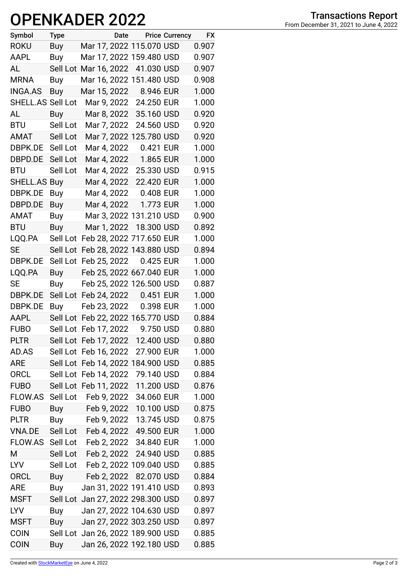## **OPENKADER 2022**

| Symbol            | <b>Type</b> |                       | Date |                                   | <b>Price Currency</b> | <b>FX</b> |
|-------------------|-------------|-----------------------|------|-----------------------------------|-----------------------|-----------|
| <b>ROKU</b>       | Buy         |                       |      | Mar 17, 2022 115.070 USD          |                       | 0.907     |
| AAPL              | Buy         |                       |      | Mar 17, 2022 159.480 USD          |                       | 0.907     |
| AL                |             | Sell Lot Mar 16, 2022 |      | 41.030 USD                        |                       | 0.907     |
| <b>MRNA</b>       | Buy         |                       |      | Mar 16, 2022 151.480 USD          |                       | 0.908     |
| <b>INGA.AS</b>    | Buy         |                       |      | Mar 15, 2022 8.946 EUR            |                       | 1.000     |
| SHELL.AS Sell Lot |             |                       |      | Mar 9, 2022 24.250 EUR            |                       | 1.000     |
| AL                | Buy         | Mar 8, 2022           |      | 35.160 USD                        |                       | 0.920     |
| <b>BTU</b>        | Sell Lot    | Mar 7, 2022           |      | 24.560 USD                        |                       | 0.920     |
| AMAT              | Sell Lot    |                       |      | Mar 7, 2022 125.780 USD           |                       | 0.920     |
| DBPK.DE           | Sell Lot    | Mar 4, 2022           |      | 0.421 EUR                         |                       | 1.000     |
| DBPD.DE           | Sell Lot    | Mar 4, 2022           |      | 1.865 EUR                         |                       | 1.000     |
| <b>BTU</b>        | Sell Lot    | Mar 4, 2022           |      | 25.330 USD                        |                       | 0.915     |
| SHELL.AS Buy      |             | Mar 4, 2022           |      | 22.420 EUR                        |                       | 1.000     |
| DBPK.DE           | Buy         |                       |      | Mar 4, 2022 0.408 EUR             |                       | 1.000     |
| DBPD.DE           | Buy         | Mar 4, 2022           |      | 1.773 EUR                         |                       | 1.000     |
| <b>AMAT</b>       | Buy         |                       |      | Mar 3, 2022 131.210 USD           |                       | 0.900     |
| <b>BTU</b>        | Buy         |                       |      | Mar 1, 2022 18.300 USD            |                       | 0.892     |
| LQQ.PA            | Sell Lot    |                       |      | Feb 28, 2022 717.650 EUR          |                       | 1.000     |
| SE                | Sell Lot    |                       |      | Feb 28, 2022 143.880 USD          |                       | 0.894     |
| DBPK.DE           | Sell Lot    | Feb 25, 2022          |      | 0.425 EUR                         |                       | 1.000     |
| LQQ.PA            | <b>Buy</b>  |                       |      | Feb 25, 2022 667.040 EUR          |                       | 1.000     |
| <b>SE</b>         | Buy         |                       |      | Feb 25, 2022 126.500 USD          |                       | 0.887     |
| DBPK.DE           |             |                       |      | Sell Lot Feb 24, 2022 0.451 EUR   |                       | 1.000     |
| DBPK.DE           | Buy         | Feb 23, 2022          |      | 0.398 EUR                         |                       | 1.000     |
| AAPL              |             |                       |      | Sell Lot Feb 22, 2022 165.770 USD |                       | 0.884     |
| <b>FUBO</b>       |             | Sell Lot Feb 17, 2022 |      | 9.750 USD                         |                       | 0.880     |
| <b>PLTR</b>       |             | Sell Lot Feb 17, 2022 |      | 12.400 USD                        |                       | 0.880     |
| AD.AS             |             | Sell Lot Feb 16, 2022 |      | 27.900 EUR                        |                       | 1.000     |
| <b>ARE</b>        |             |                       |      | Sell Lot Feb 14, 2022 184.900 USD |                       | 0.885     |
| <b>ORCL</b>       |             |                       |      | Sell Lot Feb 14, 2022 79.140 USD  |                       | 0.884     |
| <b>FUBO</b>       |             | Sell Lot Feb 11, 2022 |      | 11.200 USD                        |                       | 0.876     |
| <b>FLOW.AS</b>    | Sell Lot    | Feb 9, 2022           |      | 34.060 EUR                        |                       | 1.000     |
| <b>FUBO</b>       | Buy         |                       |      |                                   |                       | 0.875     |
| <b>PLTR</b>       | Buy         |                       |      | Feb 9, 2022 13.745 USD            |                       | 0.875     |
| <b>VNA.DE</b>     |             |                       |      | Sell Lot Feb 4, 2022 49.500 EUR   |                       | 1.000     |
| FLOW.AS           |             |                       |      | Sell Lot Feb 2, 2022 34.840 EUR   |                       | 1.000     |
| M                 | Sell Lot    |                       |      | Feb 2, 2022 24.940 USD            |                       | 0.885     |
| LYV               |             |                       |      | Sell Lot Feb 2, 2022 109.040 USD  |                       | 0.885     |
| <b>ORCL</b>       | Buy         |                       |      | Feb 2, 2022 82.070 USD            |                       | 0.884     |
| <b>ARE</b>        | Buy         |                       |      | Jan 31, 2022 191.410 USD          |                       | 0.893     |
| <b>MSFT</b>       |             |                       |      | Sell Lot Jan 27, 2022 298.300 USD |                       | 0.897     |
| <b>LYV</b>        | Buy         |                       |      | Jan 27, 2022 104.630 USD          |                       | 0.897     |
| <b>MSFT</b>       | Buy         |                       |      | Jan 27, 2022 303.250 USD          |                       | 0.897     |
| <b>COIN</b>       |             |                       |      | Sell Lot Jan 26, 2022 189.900 USD |                       | 0.885     |
| <b>COIN</b>       | Buy         |                       |      | Jan 26, 2022 192.180 USD          |                       | 0.885     |